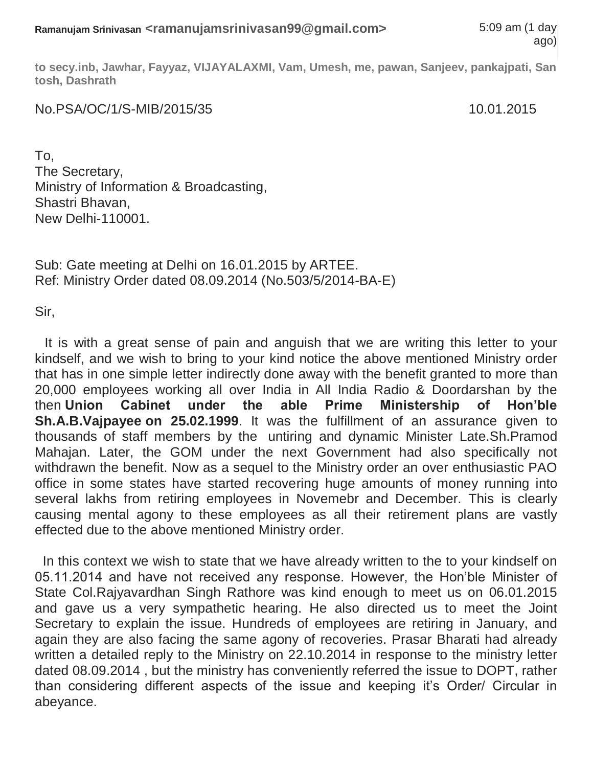**to secy.inb, Jawhar, Fayyaz, VIJAYALAXMI, Vam, Umesh, me, pawan, Sanjeev, pankajpati, San tosh, Dashrath**

No.PSA/OC/1/S-MIB/2015/35 10.01.2015

To, The Secretary, Ministry of Information & Broadcasting, Shastri Bhavan, New Delhi-110001.

Sub: Gate meeting at Delhi on 16.01.2015 by ARTEE. Ref: Ministry Order dated 08.09.2014 (No.503/5/2014-BA-E)

Sir,

It is with a great sense of pain and anguish that we are writing this letter to your kindself, and we wish to bring to your kind notice the above mentioned Ministry order that has in one simple letter indirectly done away with the benefit granted to more than 20,000 employees working all over India in All India Radio & Doordarshan by the then **Union Cabinet under the able Prime Ministership of Hon'ble Sh.A.B.Vajpayee on 25.02.1999**. It was the fulfillment of an assurance given to thousands of staff members by the untiring and dynamic Minister Late.Sh.Pramod Mahajan. Later, the GOM under the next Government had also specifically not withdrawn the benefit. Now as a sequel to the Ministry order an over enthusiastic PAO office in some states have started recovering huge amounts of money running into several lakhs from retiring employees in Novemebr and December. This is clearly causing mental agony to these employees as all their retirement plans are vastly effected due to the above mentioned Ministry order.

In this context we wish to state that we have already written to the to your kindself on 05.11.2014 and have not received any response. However, the Hon'ble Minister of State Col.Rajyavardhan Singh Rathore was kind enough to meet us on 06.01.2015 and gave us a very sympathetic hearing. He also directed us to meet the Joint Secretary to explain the issue. Hundreds of employees are retiring in January, and again they are also facing the same agony of recoveries. Prasar Bharati had already written a detailed reply to the Ministry on 22.10.2014 in response to the ministry letter dated 08.09.2014 , but the ministry has conveniently referred the issue to DOPT, rather than considering different aspects of the issue and keeping it's Order/ Circular in abeyance.